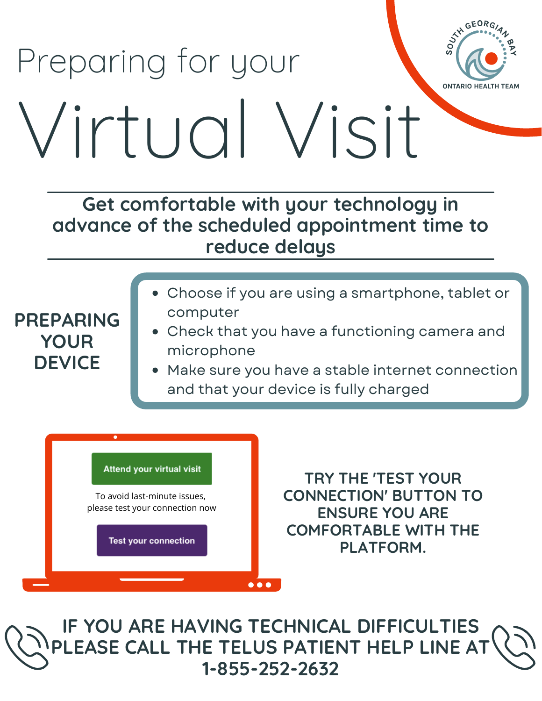## SOUT TO Preparing for your **ONTARIO HEALTH TEAM** Virtual Visit

**Get comfortable with your technology in advance of the scheduled appointment time to reduce delays**

- **PREPARING YOUR DEVICE**
- Choose if you are using a smartphone, tablet or computer
- Check that you have a functioning camera and microphone
- Make sure you have a stable internet connection and that your device is fully charged

## **Attend your virtual visit**

To avoid last-minute issues, please test your connection now

**Test your connection** 

**TRY THE 'TEST YOUR CONNECTION' BUTTON TO ENSURE YOU ARE COMFORTABLE WITH THE PLATFORM.**

GEORG

**IF YOU ARE HAVING TECHNICAL DIFFICULTIES PLEASE CALL THE TELUS PATIENT HELP LINE AT 1-855-252-2632**

 $\bullet\bullet\bullet$